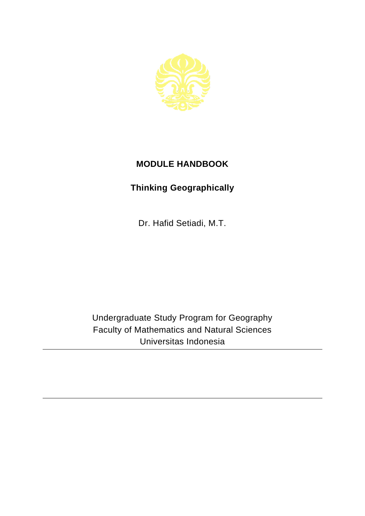

## **MODULE HANDBOOK**

## **Thinking Geographically**

Dr. Hafid Setiadi, M.T.

Undergraduate Study Program for Geography Faculty of Mathematics and Natural Sciences Universitas Indonesia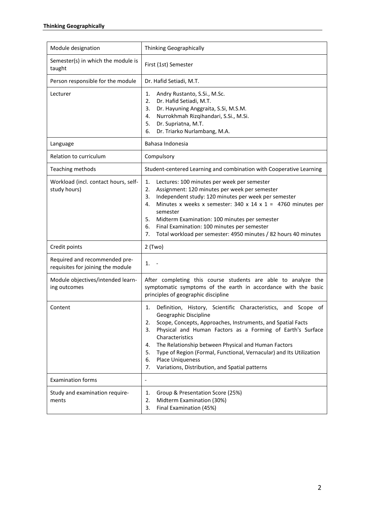| Module designation                                                 | <b>Thinking Geographically</b>                                                                                                                                                                                                                                                                                                                                                                                                                                                       |
|--------------------------------------------------------------------|--------------------------------------------------------------------------------------------------------------------------------------------------------------------------------------------------------------------------------------------------------------------------------------------------------------------------------------------------------------------------------------------------------------------------------------------------------------------------------------|
| Semester(s) in which the module is<br>taught                       | First (1st) Semester                                                                                                                                                                                                                                                                                                                                                                                                                                                                 |
| Person responsible for the module                                  | Dr. Hafid Setiadi, M.T.                                                                                                                                                                                                                                                                                                                                                                                                                                                              |
| Lecturer                                                           | Andry Rustanto, S.Si., M.Sc.<br>1.<br>Dr. Hafid Setiadi, M.T.<br>2.<br>Dr. Hayuning Anggraita, S.Si, M.S.M.<br>3.<br>Nurrokhmah Rizqihandari, S.Si., M.Si.<br>4.<br>Dr. Supriatna, M.T.<br>5.<br>Dr. Triarko Nurlambang, M.A.<br>6.                                                                                                                                                                                                                                                  |
| Language                                                           | Bahasa Indonesia                                                                                                                                                                                                                                                                                                                                                                                                                                                                     |
| Relation to curriculum                                             | Compulsory                                                                                                                                                                                                                                                                                                                                                                                                                                                                           |
| Teaching methods                                                   | Student-centered Learning and combination with Cooperative Learning                                                                                                                                                                                                                                                                                                                                                                                                                  |
| Workload (incl. contact hours, self-<br>study hours)               | 1.<br>Lectures: 100 minutes per week per semester<br>2.<br>Assignment: 120 minutes per week per semester<br>Independent study: 120 minutes per week per semester<br>3.<br>Minutes x weeks x semester: 340 x 14 x 1 = 4760 minutes per<br>4.<br>semester<br>5.<br>Midterm Examination: 100 minutes per semester<br>6.<br>Final Examination: 100 minutes per semester<br>7.<br>Total workload per semester: 4950 minutes / 82 hours 40 minutes                                         |
| Credit points                                                      | $2$ (Two)                                                                                                                                                                                                                                                                                                                                                                                                                                                                            |
| Required and recommended pre-<br>requisites for joining the module | 1.                                                                                                                                                                                                                                                                                                                                                                                                                                                                                   |
| Module objectives/intended learn-<br>ing outcomes                  | After completing this course students are able to analyze the<br>symptomatic symptoms of the earth in accordance with the basic<br>principles of geographic discipline                                                                                                                                                                                                                                                                                                               |
| Content                                                            | Definition, History, Scientific Characteristics, and Scope of<br>1.<br>Geographic Discipline<br>Scope, Concepts, Approaches, Instruments, and Spatial Facts<br>2.<br>Physical and Human Factors as a Forming of Earth's Surface<br>3.<br>Characteristics<br>The Relationship between Physical and Human Factors<br>4.<br>Type of Region (Formal, Functional, Vernacular) and Its Utilization<br>5.<br>Place Uniqueness<br>6.<br>Variations, Distribution, and Spatial patterns<br>7. |
| <b>Examination forms</b>                                           | $\qquad \qquad \blacksquare$                                                                                                                                                                                                                                                                                                                                                                                                                                                         |
| Study and examination require-<br>ments                            | Group & Presentation Score (25%)<br>1.<br>Midterm Examination (30%)<br>2.<br>Final Examination (45%)<br>3.                                                                                                                                                                                                                                                                                                                                                                           |